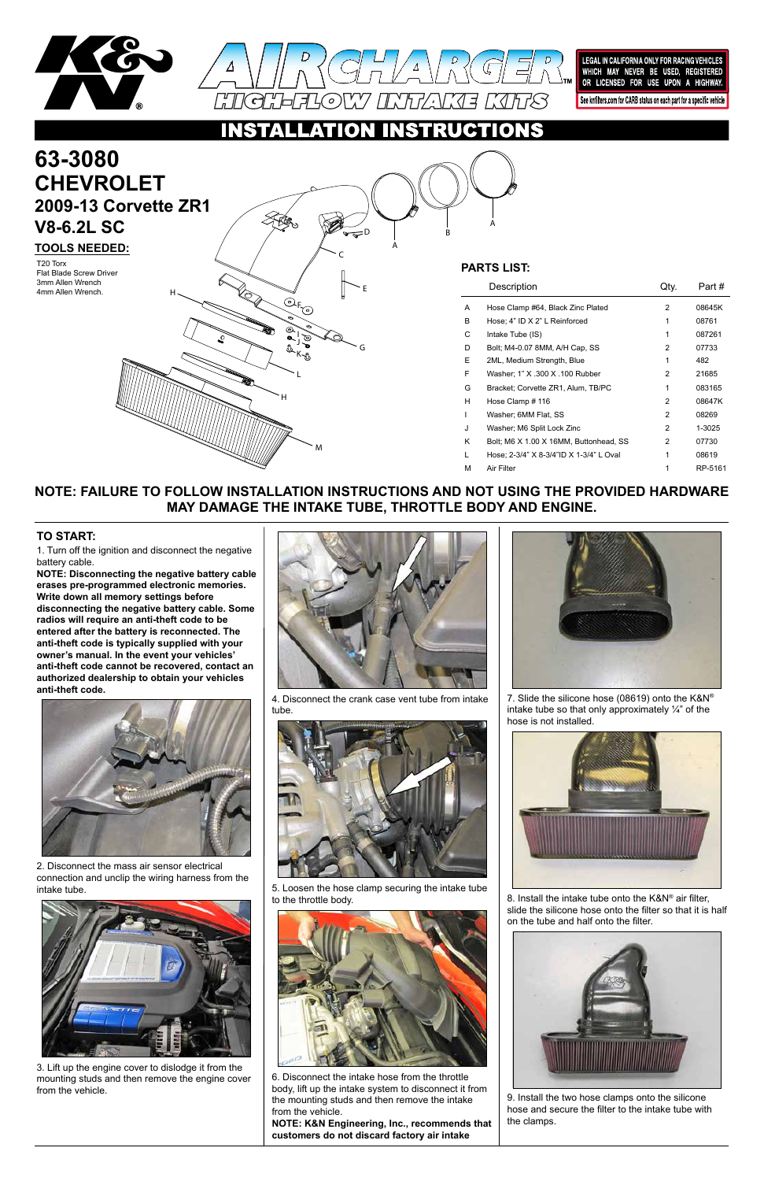



LEGAL IN CALIFORNIA ONLY FOR RACING VEHICLES WHICH MAY NEVER BE USED, REGISTERED OR LICENSED FOR USE UPON A HIGHWAY. See knfilters.com for CARB status on each part for a specific vehicle

NSTRUCTIONS O

L

G

E

C

H

H

M

A

A

B

K J I

 $\overline{\odot}$ r

D

### **NOTE: FAILURE TO FOLLOW INSTALLATION INSTRUCTIONS AND NOT USING THE PROVIDED HARDWARE MAY DAMAGE THE INTAKE TUBE, THROTTLE BODY AND ENGINE.**

1. Turn off the ignition and disconnect the negative battery cable.

# **63-3080 TOOLS NEEDED: CHEVROLET 2009-13 Corvette ZR1 V8-6.2L SC**

**NOTE: Disconnecting the negative battery cable erases pre-programmed electronic memories. Write down all memory settings before disconnecting the negative battery cable. Some radios will require an anti-theft code to be entered after the battery is reconnected. The anti-theft code is typically supplied with your owner's manual. In the event your vehicles' anti-theft code cannot be recovered, contact an authorized dealership to obtain your vehicles anti-theft code.**

T20 Torx<br>First Plade Sergy: Private **Sergy: Private** Contract **PARTS LIST:** Flat Blade Screw Driver 3mm Allen Wrench 4mm Allen Wrench.

#### **TO START:**

|   | Description                             | JtV. | Part #  |
|---|-----------------------------------------|------|---------|
| A | Hose Clamp #64, Black Zinc Plated       | 2    | 08645K  |
| В | Hose; 4" ID X 2" L Reinforced           | 1    | 08761   |
| С | Intake Tube (IS)                        | 1    | 087261  |
| D | Bolt: M4-0.07 8MM, A/H Cap, SS          | 2    | 07733   |
| E | 2ML, Medium Strength, Blue              | 1    | 482     |
| F | Washer: 1" X .300 X .100 Rubber         | 2    | 21685   |
| G | Bracket: Corvette ZR1, Alum, TB/PC      | 1    | 083165  |
| н | Hose Clamp # 116                        | 2    | 08647K  |
| I | Washer: 6MM Flat, SS                    | 2    | 08269   |
| J | Washer: M6 Split Lock Zinc              | 2    | 1-3025  |
| Κ | Bolt: M6 X 1.00 X 16MM, Buttonhead, SS  | 2    | 07730   |
| L | Hose: 2-3/4" X 8-3/4"ID X 1-3/4" L Oval | 1    | 08619   |
| М | Air Filter                              | 1    | RP-5161 |
|   |                                         |      |         |



2. Disconnect the mass air sensor electrical

connection and unclip the wiring harness from the intake tube.



3. Lift up the engine cover to dislodge it from the mounting studs and then remove the engine cover from the vehicle.



4. Disconnect the crank case vent tube from intake tube.



5. Loosen the hose clamp securing the intake tube to the throttle body.



6. Disconnect the intake hose from the throttle body, lift up the intake system to disconnect it from the mounting studs and then remove the intake from the vehicle.

**NOTE: K&N Engineering, Inc., recommends that customers do not discard factory air intake**





7. Slide the silicone hose (08619) onto the K&N® intake tube so that only approximately  $\frac{1}{4}$  of the hose is not installed.



8. Install the intake tube onto the K&N® air filter, slide the silicone hose onto the filter so that it is half on the tube and half onto the filter.



9. Install the two hose clamps onto the silicone hose and secure the filter to the intake tube with the clamps.